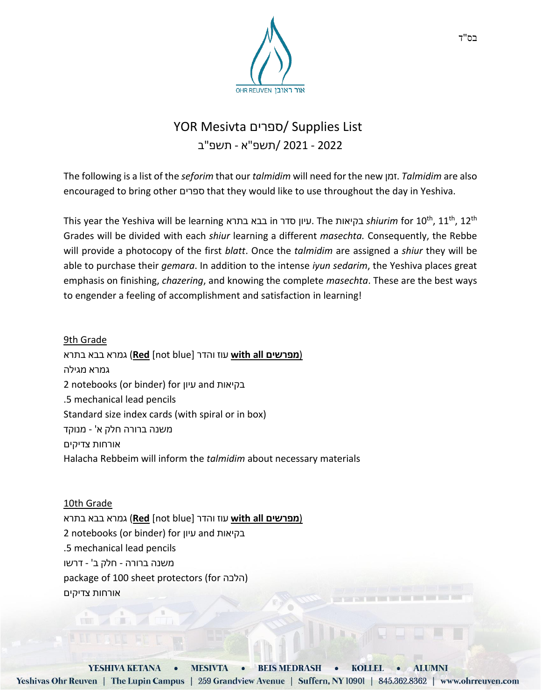

## YOR Mesivta ספרים/ Supplies List 2022 - 2021 /תשפ"א - תשפ"ב

The following is a list of the *seforim* that our *talmidim* will need for the new זמן. *Talmidim* are also encouraged to bring other ספרים that they would like to use throughout the day in Yeshiva.

This year the Yeshiva will be learning בתרא בבא in סדר עיון. The בקיאות *shiurim* for 10th, 11th, 12th Grades will be divided with each *shiur* learning a different *masechta.* Consequently, the Rebbe will provide a photocopy of the first *blatt*. Once the *talmidim* are assigned a *shiur* they will be able to purchase their *gemara*. In addition to the intense *iyun sedarim*, the Yeshiva places great emphasis on finishing, *chazering*, and knowing the complete *masechta*. These are the best ways to engender a feeling of accomplishment and satisfaction in learning!

9th Grade (**מפרשים all with** עוז והדר [blue not [**Red** (גמרא בבא בתרא גמרא מגילה 2 notebooks (or binder) for עיון and בקיאות .5 mechanical lead pencils Standard size index cards (with spiral or in box) משנה ברורה חלק א' - מנוקד אורחות צדיקים Halacha Rebbeim will inform the *talmidim* about necessary materials

10th Grade (**מפרשים all with** עוז והדר [blue not [**Red** (גמרא בבא בתרא 2 notebooks (or binder) for עיון and בקיאות .5 mechanical lead pencils משנה ברורה - חלק ב' - דרשו package of 100 sheet protectors (for הלכה) אורחות צדיקים